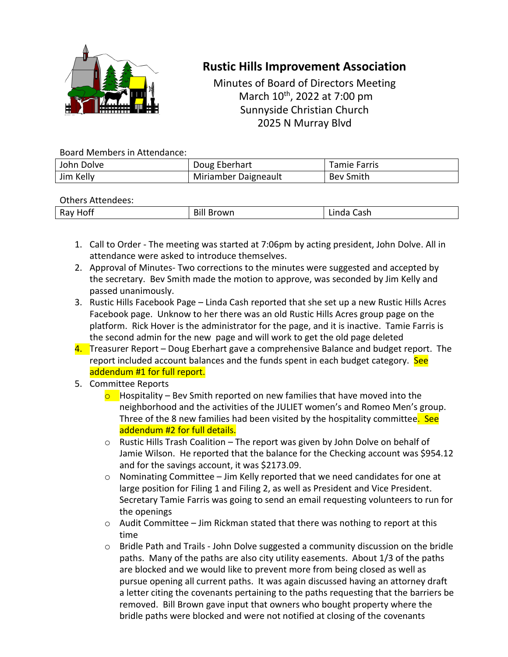

## **Rustic Hills Improvement Association**

Minutes of Board of Directors Meeting March 10th, 2022 at 7:00 pm Sunnyside Christian Church 2025 N Murray Blvd

## Board Members in Attendance:

| John Dolve | Doug Eberhart        | Tamie Farris     |
|------------|----------------------|------------------|
| Jim Kelly  | Miriamber Daigneault | <b>Bev Smith</b> |

## Others Attendees:

| _________________  |                     |                                       |  |
|--------------------|---------------------|---------------------------------------|--|
| --<br>Ray<br>_____ | Bill<br>Brown<br>н. | .<br>$\sim$<br>casıı<br>$\sim$ $\sim$ |  |
|                    |                     |                                       |  |

- 1. Call to Order The meeting was started at 7:06pm by acting president, John Dolve. All in attendance were asked to introduce themselves.
- 2. Approval of Minutes- Two corrections to the minutes were suggested and accepted by the secretary. Bev Smith made the motion to approve, was seconded by Jim Kelly and passed unanimously.
- 3. Rustic Hills Facebook Page Linda Cash reported that she set up a new Rustic Hills Acres Facebook page. Unknow to her there was an old Rustic Hills Acres group page on the platform. Rick Hover is the administrator for the page, and it is inactive. Tamie Farris is the second admin for the new page and will work to get the old page deleted
- 4. Treasurer Report Doug Eberhart gave a comprehensive Balance and budget report. The report included account balances and the funds spent in each budget category. See addendum #1 for full report.
- 5. Committee Reports
	- $\circ$  Hospitality Bev Smith reported on new families that have moved into the neighborhood and the activities of the JULIET women's and Romeo Men's group. Three of the 8 new families had been visited by the hospitality committee. See addendum #2 for full details.
	- o Rustic Hills Trash Coalition The report was given by John Dolve on behalf of Jamie Wilson. He reported that the balance for the Checking account was \$954.12 and for the savings account, it was \$2173.09.
	- o Nominating Committee Jim Kelly reported that we need candidates for one at large position for Filing 1 and Filing 2, as well as President and Vice President. Secretary Tamie Farris was going to send an email requesting volunteers to run for the openings
	- $\circ$  Audit Committee Jim Rickman stated that there was nothing to report at this time
	- $\circ$  Bridle Path and Trails John Dolve suggested a community discussion on the bridle paths. Many of the paths are also city utility easements. About 1/3 of the paths are blocked and we would like to prevent more from being closed as well as pursue opening all current paths. It was again discussed having an attorney draft a letter citing the covenants pertaining to the paths requesting that the barriers be removed. Bill Brown gave input that owners who bought property where the bridle paths were blocked and were not notified at closing of the covenants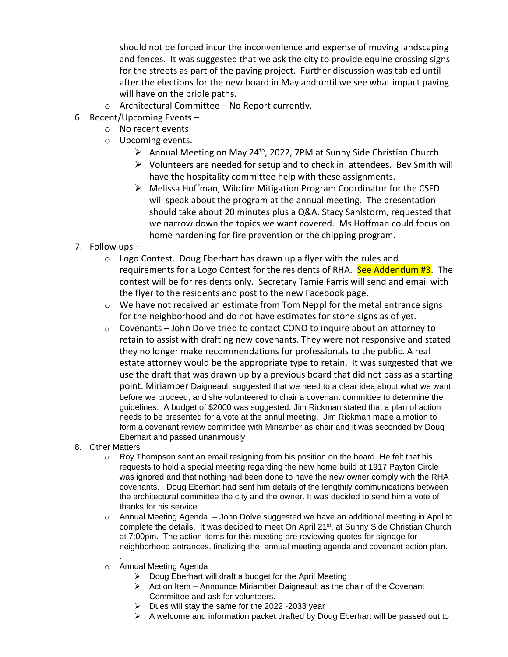should not be forced incur the inconvenience and expense of moving landscaping and fences. It was suggested that we ask the city to provide equine crossing signs for the streets as part of the paving project. Further discussion was tabled until after the elections for the new board in May and until we see what impact paving will have on the bridle paths.

- o Architectural Committee No Report currently.
- 6. Recent/Upcoming Events
	- o No recent events
	- o Upcoming events.
		- $\triangleright$  Annual Meeting on May 24<sup>th</sup>, 2022, 7PM at Sunny Side Christian Church
		- $\triangleright$  Volunteers are needed for setup and to check in attendees. Bev Smith will have the hospitality committee help with these assignments.
		- ➢ Melissa Hoffman, Wildfire Mitigation Program Coordinator for the CSFD will speak about the program at the annual meeting. The presentation should take about 20 minutes plus a Q&A. Stacy Sahlstorm, requested that we narrow down the topics we want covered. Ms Hoffman could focus on home hardening for fire prevention or the chipping program.
- 7. Follow ups
	- $\circ$  Logo Contest. Doug Eberhart has drawn up a flyer with the rules and requirements for a Logo Contest for the residents of RHA. See Addendum #3. The contest will be for residents only. Secretary Tamie Farris will send and email with the flyer to the residents and post to the new Facebook page.
	- $\circ$  We have not received an estimate from Tom Neppl for the metal entrance signs for the neighborhood and do not have estimates for stone signs as of yet.
	- o Covenants John Dolve tried to contact CONO to inquire about an attorney to retain to assist with drafting new covenants. They were not responsive and stated they no longer make recommendations for professionals to the public. A real estate attorney would be the appropriate type to retain. It was suggested that we use the draft that was drawn up by a previous board that did not pass as a starting point. Miriamber Daigneault suggested that we need to a clear idea about what we want before we proceed, and she volunteered to chair a covenant committee to determine the guidelines. A budget of \$2000 was suggested. Jim Rickman stated that a plan of action needs to be presented for a vote at the annul meeting. Jim Rickman made a motion to form a covenant review committee with Miriamber as chair and it was seconded by Doug Eberhart and passed unanimously
- 8. Other Matters

.

- $\circ$  Roy Thompson sent an email resigning from his position on the board. He felt that his requests to hold a special meeting regarding the new home build at 1917 Payton Circle was ignored and that nothing had been done to have the new owner comply with the RHA covenants. Doug Eberhart had sent him details of the lengthily communications between the architectural committee the city and the owner. It was decided to send him a vote of thanks for his service.
- $\circ$  Annual Meeting Agenda. John Dolve suggested we have an additional meeting in April to complete the details. It was decided to meet On April 21<sup>st</sup>, at Sunny Side Christian Church at 7:00pm. The action items for this meeting are reviewing quotes for signage for neighborhood entrances, finalizing the annual meeting agenda and covenant action plan.
- o Annual Meeting Agenda
	- $\triangleright$  Doug Eberhart will draft a budget for the April Meeting
	- $\triangleright$  Action Item Announce Miriamber Daigneault as the chair of the Covenant Committee and ask for volunteers.
	- $\triangleright$  Dues will stay the same for the 2022 -2033 year
	- $\triangleright$  A welcome and information packet drafted by Doug Eberhart will be passed out to